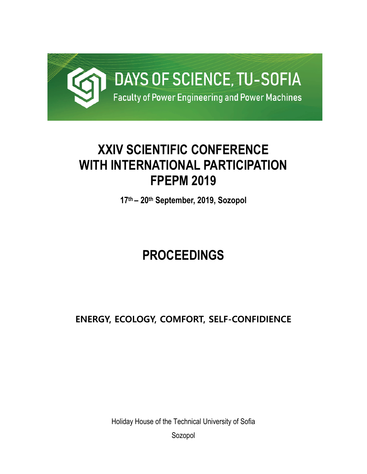

## **XXIV SCIENTIFIC CONFERENCE WITH INTERNATIONAL PARTICIPATION FPEPM 2019**

**17th – 20th September, 2019, Sozopol** 

# **PROCEEDINGS**

### **ENERGY, ECOLOGY, COMFORT, SELF-CONFIDIENCE**

Holiday House of the Technical University of Sofia Sozopol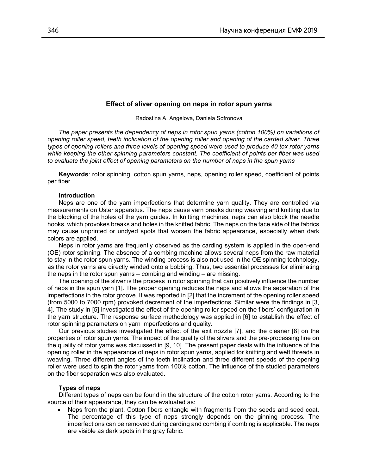#### **Effect of sliver opening on neps in rotor spun yarns**

Radostina A. Angelova, Daniela Sofronova

*The paper presents the dependency of neps in rotor spun yarns (cotton 100%) on variations of opening roller speed, teeth inclination of the opening roller and opening of the carded sliver. Three types of opening rollers and three levels of opening speed were used to produce 40 tex rotor yarns while keeping the other spinning parameters constant. The coefficient of points per fiber was used to evaluate the joint effect of opening parameters on the number of neps in the spun yarns* 

**Keywords**: rotor spinning, cotton spun yarns, neps, opening roller speed, coefficient of points per fiber

#### **Introduction**

Neps are one of the yarn imperfections that determine yarn quality. They are controlled via measurements on Uster apparatus. The neps cause yarn breaks during weaving and knitting due to the blocking of the holes of the yarn guides. In knitting machines, neps can also block the needle hooks, which provokes breaks and holes in the knitted fabric. The neps on the face side of the fabrics may cause unprinted or undyed spots that worsen the fabric appearance, especially when dark colors are applied.

Neps in rotor yarns are frequently observed as the carding system is applied in the open-end (OE) rotor spinning. The absence of a combing machine allows several neps from the raw material to stay in the rotor spun yarns. The winding process is also not used in the OE spinning technology, as the rotor yarns are directly winded onto a bobbing. Thus, two essential processes for eliminating the neps in the rotor spun yarns – combing and winding – are missing.

The opening of the sliver is the process in rotor spinning that can positively influence the number of neps in the spun yarn [1]. The proper opening reduces the neps and allows the separation of the imperfections in the rotor groove. It was reported in [2] that the increment of the opening roller speed (from 5000 to 7000 rpm) provoked decrement of the imperfections. Similar were the findings in [3, 4]. The study in [5] investigated the effect of the opening roller speed on the fibers' configuration in the yarn structure. The response surface methodology was applied in [6] to establish the effect of rotor spinning parameters on yarn imperfections and quality.

Our previous studies investigated the effect of the exit nozzle [7], and the cleaner [8] on the properties of rotor spun yarns. The impact of the quality of the slivers and the pre-processing line on the quality of rotor yarns was discussed in [9, 10]. The present paper deals with the influence of the opening roller in the appearance of neps in rotor spun yarns, applied for knitting and weft threads in weaving. Three different angles of the teeth inclination and three different speeds of the opening roller were used to spin the rotor yarns from 100% cotton. The influence of the studied parameters on the fiber separation was also evaluated.

#### **Types of neps**

Different types of neps can be found in the structure of the cotton rotor yarns. According to the source of their appearance, they can be evaluated as:

 Neps from the plant. Cotton fibers entangle with fragments from the seeds and seed coat. The percentage of this type of neps strongly depends on the ginning process. The imperfections can be removed during carding and combing if combing is applicable. The neps are visible as dark spots in the gray fabric.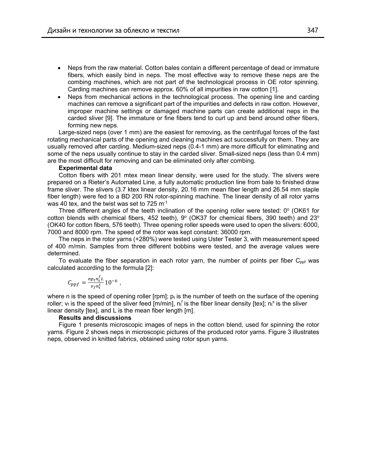- Neps from the raw material. Cotton bales contain a different percentage of dead or immature fibers, which easily bind in neps. The most effective way to remove these neps are the combing machines, which are not part of the technological process in OE rotor spinning. Carding machines can remove approx. 60% of all impurities in raw cotton [1].
- Neps from mechanical actions in the technological process. The opening line and carding machines can remove a significant part of the impurities and defects in raw cotton. However, improper machine settings or damaged machine parts can create additional neps in the carded sliver [9]. The immature or fine fibers tend to curl up and bend around other fibers, forming new neps.

Large-sized neps (over 1 mm) are the easiest for removing, as the centrifugal forces of the fast rotating mechanical parts of the opening and cleaning machines act successfully on them. They are usually removed after carding. Medium-sized neps (0.4-1 mm) are more difficult for eliminating and some of the neps usually continue to stay in the carded sliver. Small-sized neps (less than 0.4 mm) are the most difficult for removing and can be eliminated only after combing.

#### **Experimental data**

Cotton fibers with 201 mtex mean linear density, were used for the study. The slivers were prepared on a Rieter's Automated Line, a fully automatic production line from bale to finished draw frame sliver. The slivers (3.7 ktex linear density, 20.16 mm mean fiber length and 26.54 mm staple fiber length) were fed to a BD 200 RN rotor-spinning machine. The linear density of all rotor yarns was 40 tex, and the twist was set to 725  $\mathrm{m}^{\text{-}1}$ 

Three different angles of the teeth inclination of the opening roller were tested:  $0^{\circ}$  (OK61 for cotton blends with chemical fibers, 452 teeth),  $9^{\circ}$  (OK37 for chemical fibers, 390 teeth) and 23 $^{\circ}$ (OK40 for cotton fibers, 576 teeth). Three opening roller speeds were used to open the slivers: 6000, 7000 and 8000 rpm. The speed of the rotor was kept constant: 36000 rpm.

The neps in the rotor yarns (+280%) were tested using Uster Tester 3, with measurement speed of 400 m/min. Samples from three different bobbins were tested, and the average values were determined.

To evaluate the fiber separation in each rotor yarn, the number of points per fiber  $C_{\text{ppf}}$  was calculated according to the formula [2]:

$$
C_{ppf} = \frac{np_t n_t^f L}{v_f n_t^s} 10^{-6} ,
$$

where n is the speed of opening roller [rpm];  $p_t$  is the number of teeth on the surface of the opening roller;  $v_f$  is the speed of the sliver feed [m/min],  $n_f^f$  is the fiber linear density [tex];  $n_f^s$  is the sliver linear density [tex], and L is the mean fiber length [m].

#### **Results and discussions**

Figure 1 presents microscopic images of neps in the cotton blend, used for spinning the rotor yarns. Figure 2 shows neps in microscopic pictures of the produced rotor yarns. Figure 3 illustrates neps, observed in knitted fabrics, obtained using rotor spun yarns.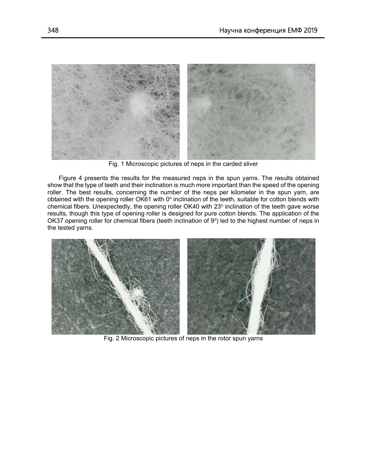

Fig. 1 Microscopic pictures of neps in the carded sliver

Figure 4 presents the results for the measured neps in the spun yarns. The results obtained show that the type of teeth and their inclination is much more important than the speed of the opening roller. The best results, concerning the number of the neps per kilometer in the spun yarn, are obtained with the opening roller OK61 with 0 $^{\circ}$  inclination of the teeth, suitable for cotton blends with chemical fibers. Unexpectedly, the opening roller OK40 with 23° inclination of the teeth gave worse results, though this type of opening roller is designed for pure cotton blends. The application of the OK37 opening roller for chemical fibers (teeth inclination of 9°) led to the highest number of neps in the tested yarns.



Fig. 2 Microscopic pictures of neps in the rotor spun yarns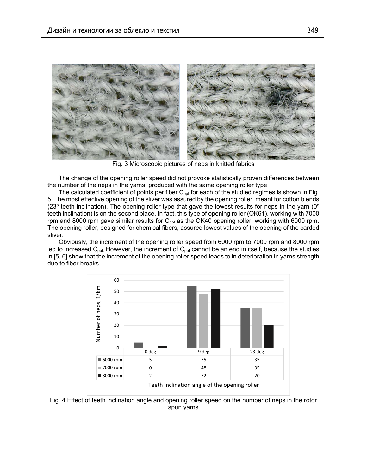

Fig. 3 Microscopic pictures of neps in knitted fabrics

The change of the opening roller speed did not provoke statistically proven differences between the number of the neps in the yarns, produced with the same opening roller type.

The calculated coefficient of points per fiber  $C_{\text{ppf}}$  for each of the studied regimes is shown in Fig. 5. The most effective opening of the sliver was assured by the opening roller, meant for cotton blends (23 $\degree$  teeth inclination). The opening roller type that gave the lowest results for neps in the yarn (0 $\degree$ teeth inclination) is on the second place. In fact, this type of opening roller (OK61), working with 7000 rpm and 8000 rpm gave similar results for  $C_{\text{pot}}$  as the OK40 opening roller, working with 6000 rpm. The opening roller, designed for chemical fibers, assured lowest values of the opening of the carded sliver.

Obviously, the increment of the opening roller speed from 6000 rpm to 7000 rpm and 8000 rpm led to increased  $C_{\text{ppf}}$ . However, the increment of  $C_{\text{ppf}}$  cannot be an end in itself, because the studies in [5, 6] show that the increment of the opening roller speed leads to in deterioration in yarns strength due to fiber breaks.



Fig. 4 Effect of teeth inclination angle and opening roller speed on the number of neps in the rotor spun yarns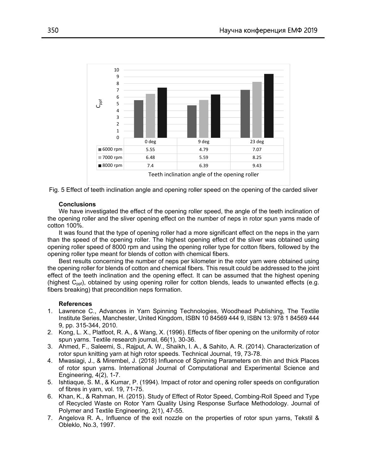



#### **Conclusions**

We have investigated the effect of the opening roller speed, the angle of the teeth inclination of the opening roller and the sliver opening effect on the number of neps in rotor spun yarns made of cotton 100%.

It was found that the type of opening roller had a more significant effect on the neps in the yarn than the speed of the opening roller. The highest opening effect of the sliver was obtained using opening roller speed of 8000 rpm and using the opening roller type for cotton fibers, followed by the opening roller type meant for blends of cotton with chemical fibers.

Best results concerning the number of neps per kilometer in the rotor yarn were obtained using the opening roller for blends of cotton and chemical fibers. This result could be addressed to the joint effect of the teeth inclination and the opening effect. It can be assumed that the highest opening (highest  $C_{\text{pof}}$ ), obtained by using opening roller for cotton blends, leads to unwanted effects (e.g. fibers breaking) that precondition neps formation.

#### **References**

- 1. Lawrence C., Advances in Yarn Spinning Technologies, Woodhead Publishing, The Textile Institute Series, Manchester, United Kingdom, ISBN 10 84569 444 9, ISBN 13: 978 1 84569 444 9, pp. 315-344, 2010.
- 2. Kong, L. X., Platfoot, R. A., & Wang, X. (1996). Effects of fiber opening on the uniformity of rotor spun yarns. Textile research journal, 66(1), 30-36.
- 3. Ahmed, F., Saleemi, S., Rajput, A. W., Shaikh, I. A., & Sahito, A. R. (2014). Characterization of rotor spun knitting yarn at high rotor speeds. Technical Journal, 19, 73-78.
- 4. Mwasiagi, J., & Mirembel, J. (2018) Influence of Spinning Parameters on thin and thick Places of rotor spun yarns. International Journal of Computational and Experimental Science and Engineering, 4(2), 1-7.
- 5. Ishtiaque, S. M., & Kumar, P. (1994). Impact of rotor and opening roller speeds on configuration of fibres in yarn, vol. 19, 71-75.
- 6. Khan, K., & Rahman, H. (2015). Study of Effect of Rotor Speed, Combing-Roll Speed and Type of Recycled Waste on Rotor Yarn Quality Using Response Surface Methodology. Journal of Polymer and Textile Engineering, 2(1), 47-55.
- 7. Angelova R. A., Influence of the exit nozzle on the properties of rotor spun yarns, Tekstil & Obleklo, No.3, 1997.